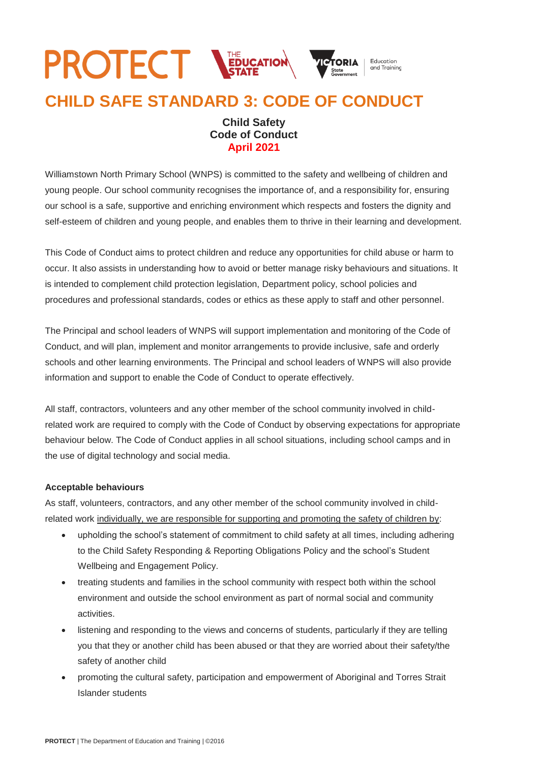## **PROTECT NEDUCATION** Education and Training **CHILD SAFE STANDARD 3: CODE OF CONDUCT**

## **Child Safety Code of Conduct April 2021**

Williamstown North Primary School (WNPS) is committed to the safety and wellbeing of children and young people. Our school community recognises the importance of, and a responsibility for, ensuring our school is a safe, supportive and enriching environment which respects and fosters the dignity and self-esteem of children and young people, and enables them to thrive in their learning and development.

This Code of Conduct aims to protect children and reduce any opportunities for child abuse or harm to occur. It also assists in understanding how to avoid or better manage risky behaviours and situations. It is intended to complement child protection legislation, Department policy, school policies and procedures and professional standards, codes or ethics as these apply to staff and other personnel.

The Principal and school leaders of WNPS will support implementation and monitoring of the Code of Conduct, and will plan, implement and monitor arrangements to provide inclusive, safe and orderly schools and other learning environments. The Principal and school leaders of WNPS will also provide information and support to enable the Code of Conduct to operate effectively.

All staff, contractors, volunteers and any other member of the school community involved in childrelated work are required to comply with the Code of Conduct by observing expectations for appropriate behaviour below. The Code of Conduct applies in all school situations, including school camps and in the use of digital technology and social media.

## **Acceptable behaviours**

As staff, volunteers, contractors, and any other member of the school community involved in childrelated work individually, we are responsible for supporting and promoting the safety of children by:

- upholding the school's statement of commitment to child safety at all times, including adhering to the Child Safety Responding & Reporting Obligations Policy and the school's Student Wellbeing and Engagement Policy.
- treating students and families in the school community with respect both within the school environment and outside the school environment as part of normal social and community activities.
- listening and responding to the views and concerns of students, particularly if they are telling you that they or another child has been abused or that they are worried about their safety/the safety of another child
- promoting the cultural safety, participation and empowerment of Aboriginal and Torres Strait Islander students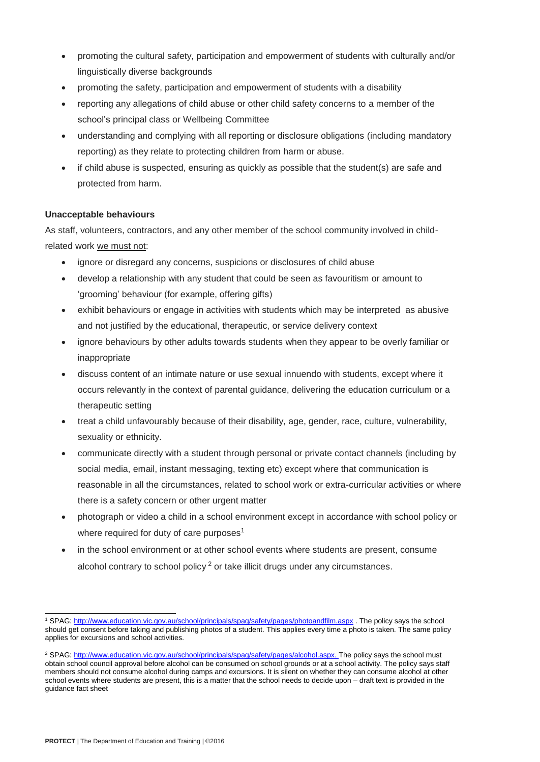- promoting the cultural safety, participation and empowerment of students with culturally and/or linguistically diverse backgrounds
- promoting the safety, participation and empowerment of students with a disability
- reporting any allegations of child abuse or other child safety concerns to a member of the school's principal class or Wellbeing Committee
- understanding and complying with all reporting or disclosure obligations (including mandatory reporting) as they relate to protecting children from harm or abuse.
- if child abuse is suspected, ensuring as quickly as possible that the student(s) are safe and protected from harm.

## **Unacceptable behaviours**

As staff, volunteers, contractors, and any other member of the school community involved in childrelated work we must not:

- ignore or disregard any concerns, suspicions or disclosures of child abuse
- develop a relationship with any student that could be seen as favouritism or amount to 'grooming' behaviour (for example, offering gifts)
- exhibit behaviours or engage in activities with students which may be interpreted as abusive and not justified by the educational, therapeutic, or service delivery context
- ignore behaviours by other adults towards students when they appear to be overly familiar or inappropriate
- discuss content of an intimate nature or use sexual innuendo with students, except where it occurs relevantly in the context of parental guidance, delivering the education curriculum or a therapeutic setting
- treat a child unfavourably because of their disability, age, gender, race, culture, vulnerability, sexuality or ethnicity.
- communicate directly with a student through personal or private contact channels (including by social media, email, instant messaging, texting etc) except where that communication is reasonable in all the circumstances, related to school work or extra-curricular activities or where there is a safety concern or other urgent matter
- photograph or video a child in a school environment except in accordance with school policy or where required for duty of care purposes<sup>1</sup>
- in the school environment or at other school events where students are present, consume alcohol contrary to school policy<sup>2</sup> or take illicit drugs under any circumstances.

l <sup>1</sup> SPAG[: http://www.education.vic.gov.au/school/principals/spag/safety/pages/photoandfilm.aspx](http://www.education.vic.gov.au/school/principals/spag/safety/pages/photoandfilm.aspx) . The policy says the school should get consent before taking and publishing photos of a student. This applies every time a photo is taken. The same policy applies for excursions and school activities.

<sup>&</sup>lt;sup>2</sup> SPAG[: http://www.education.vic.gov.au/school/principals/spag/safety/pages/alcohol.aspx.](http://www.education.vic.gov.au/school/principals/spag/safety/pages/alcohol.aspx) The policy says the school must obtain school council approval before alcohol can be consumed on school grounds or at a school activity. The policy says staff members should not consume alcohol during camps and excursions. It is silent on whether they can consume alcohol at other school events where students are present, this is a matter that the school needs to decide upon – draft text is provided in the guidance fact sheet